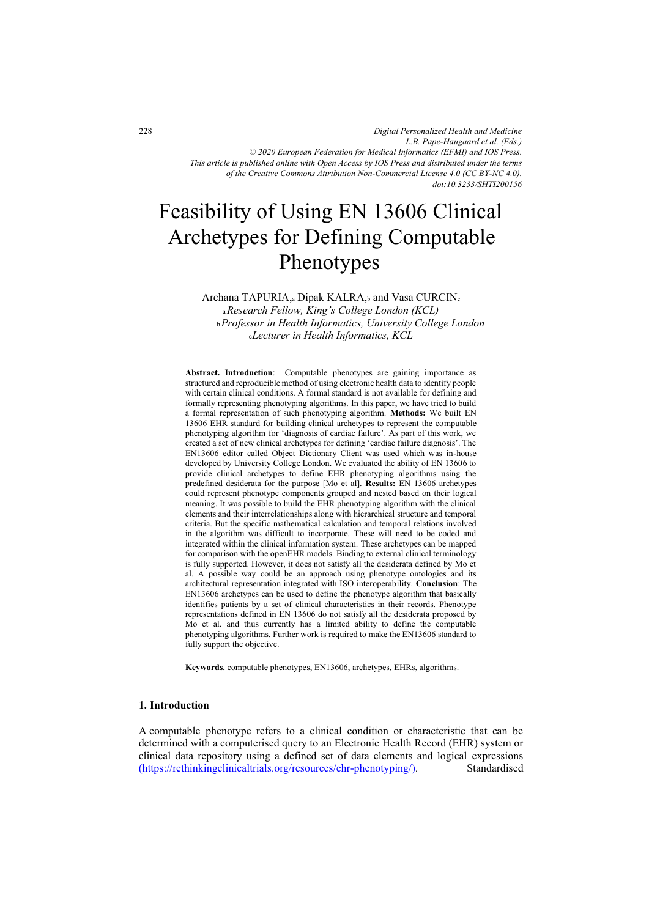*Digital Personalized Health and Medicine L.B. Pape-Haugaard et al. (Eds.) © 2020 European Federation for Medical Informatics (EFMI) and IOS Press. This article is published online with Open Access by IOS Press and distributed under the terms of the Creative Commons Attribution Non-Commercial License 4.0 (CC BY-NC 4.0). doi:10.3233/SHTI200156*

# Feasibility of Using EN 13606 Clinical Archetypes for Defining Computable Phenotypes

Archana TAPURIA, a Dipak KALRA, and Vasa CURCIN.

<sup>a</sup>*Research Fellow, King's College London (KCL)*  <sup>b</sup>*Professor in Health Informatics, University College London*  <sup>c</sup>*Lecturer in Health Informatics, KCL* 

**Abstract. Introduction**: Computable phenotypes are gaining importance as structured and reproducible method of using electronic health data to identify people with certain clinical conditions. A formal standard is not available for defining and formally representing phenotyping algorithms. In this paper, we have tried to build a formal representation of such phenotyping algorithm. **Methods:** We built EN 13606 EHR standard for building clinical archetypes to represent the computable phenotyping algorithm for 'diagnosis of cardiac failure'. As part of this work, we created a set of new clinical archetypes for defining 'cardiac failure diagnosis'. The EN13606 editor called Object Dictionary Client was used which was in-house developed by University College London. We evaluated the ability of EN 13606 to provide clinical archetypes to define EHR phenotyping algorithms using the predefined desiderata for the purpose [Mo et al]. **Results:** EN 13606 archetypes could represent phenotype components grouped and nested based on their logical meaning. It was possible to build the EHR phenotyping algorithm with the clinical elements and their interrelationships along with hierarchical structure and temporal criteria. But the specific mathematical calculation and temporal relations involved in the algorithm was difficult to incorporate. These will need to be coded and integrated within the clinical information system. These archetypes can be mapped for comparison with the openEHR models. Binding to external clinical terminology is fully supported. However, it does not satisfy all the desiderata defined by Mo et al. A possible way could be an approach using phenotype ontologies and its architectural representation integrated with ISO interoperability. **Conclusion**: The EN13606 archetypes can be used to define the phenotype algorithm that basically identifies patients by a set of clinical characteristics in their records. Phenotype representations defined in EN 13606 do not satisfy all the desiderata proposed by Mo et al. and thus currently has a limited ability to define the computable phenotyping algorithms. Further work is required to make the EN13606 standard to fully support the objective.

**Keywords.** computable phenotypes, EN13606, archetypes, EHRs, algorithms.

### **1. Introduction**

A computable phenotype refers to a clinical condition or characteristic that can be determined with a computerised query to an Electronic Health Record (EHR) system or clinical data repository using a defined set of data elements and logical expressions [\(https://rethinkingclinicaltrials.org/resources/ehr-phenotyping/\)](https://rethinkingclinicaltrials.org/resources/ehr-phenotyping/). Standardised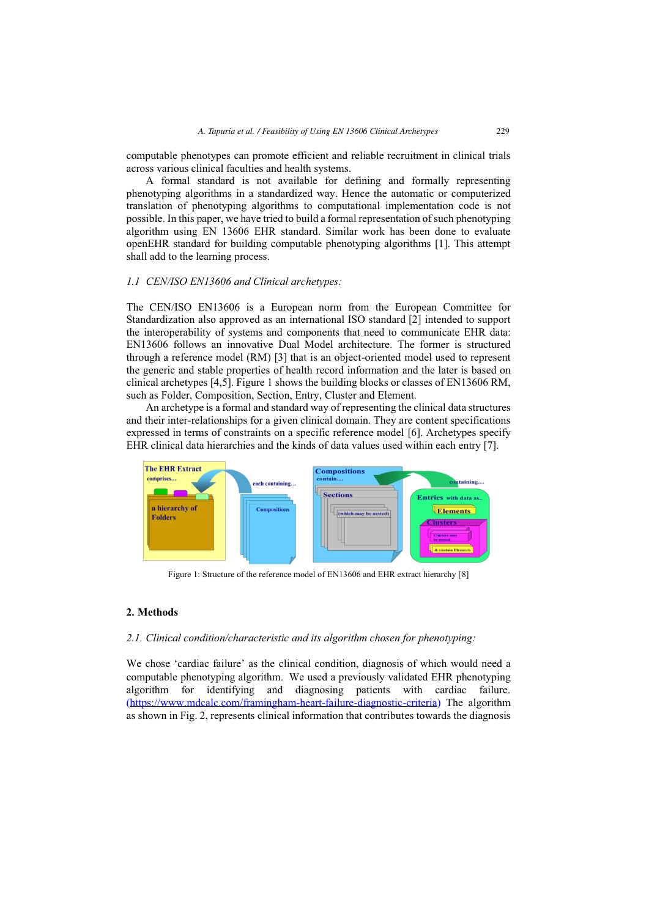computable phenotypes can promote efficient and reliable recruitment in clinical trials across various clinical faculties and health systems.

A formal standard is not available for defining and formally representing phenotyping algorithms in a standardized way. Hence the automatic or computerized translation of phenotyping algorithms to computational implementation code is not possible. In this paper, we have tried to build a formal representation of such phenotyping algorithm using EN 13606 EHR standard. Similar work has been done to evaluate openEHR standard for building computable phenotyping algorithms [1]. This attempt shall add to the learning process.

# *1.1 CEN/ISO EN13606 and Clinical archetypes:*

The CEN/ISO EN13606 is a European norm from the European Committee for Standardization also approved as an international ISO standard [2] intended to support the interoperability of systems and components that need to communicate EHR data: EN13606 follows an innovative Dual Model architecture. The former is structured through a reference model (RM) [3] that is an object-oriented model used to represent the generic and stable properties of health record information and the later is based on clinical archetypes [4,5]. Figure 1 shows the building blocks or classes of EN13606 RM, such as Folder, Composition, Section, Entry, Cluster and Element.

An archetype is a formal and standard way of representing the clinical data structures and their inter-relationships for a given clinical domain. They are content specifications expressed in terms of constraints on a specific reference model [6]. Archetypes specify EHR clinical data hierarchies and the kinds of data values used within each entry [7].



Figure 1: Structure of the reference model of EN13606 and EHR extract hierarchy [8]

# **2. Methods**

# *2.1. Clinical condition/characteristic and its algorithm chosen for phenotyping:*

We chose 'cardiac failure' as the clinical condition, diagnosis of which would need a computable phenotyping algorithm. We used a previously validated EHR phenotyping algorithm for identifying and diagnosing patients with cardiac failure. [\(https://www.mdcalc.com/framingham-heart-failure-diagnostic-criteria\)](https://www.mdcalc.com/framingham-heart-failure-diagnostic-criteria) The algorithm as shown in Fig. 2, represents clinical information that contributes towards the diagnosis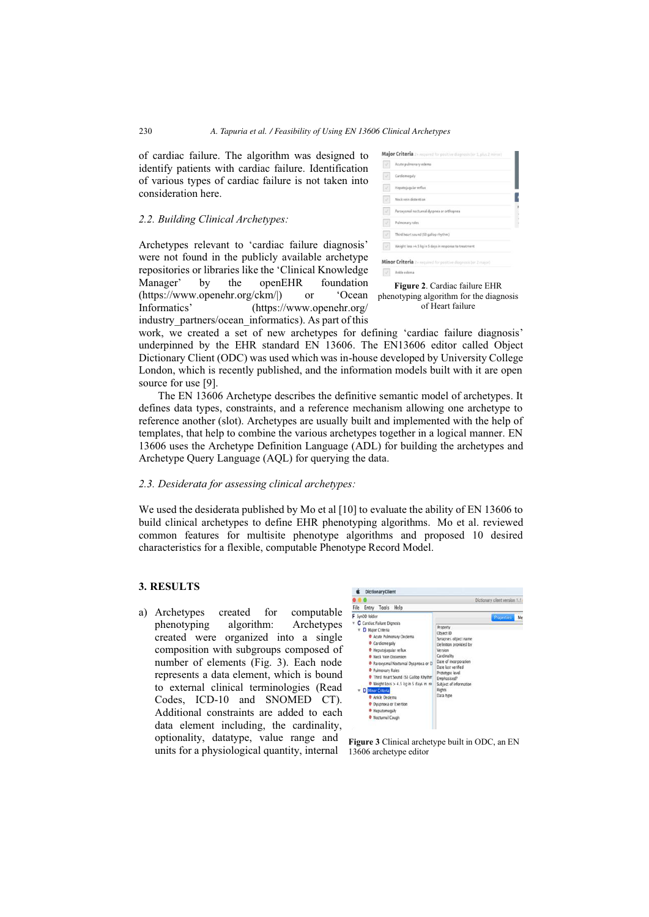of cardiac failure. The algorithm was designed to identify patients with cardiac failure. Identification of various types of cardiac failure is not taken into consideration here.

#### *2.2. Building Clinical Archetypes:*

Archetypes relevant to 'cardiac failure diagnosis' were not found in the publicly available archetype repositories or libraries like the 'Clinical Knowledge Manager' by the openEHR foundation (https://www.openehr.org/ckm/|) or 'Ocean Informatics' (https://www.openehr.org/ industry partners/ocean informatics). As part of this

| Acute pulmonary edema                                   |
|---------------------------------------------------------|
| Cardiomegaly                                            |
| Hepatojugular reflux                                    |
| Neck vein distention                                    |
| Paroxysmal nocturnal dyspnea or orthopnea               |
| Pulmonary rales                                         |
| Third heart sound (S3 gallop rhythm)                    |
| Weight loss >4.5 kg in 5 days in response to treatment. |



work, we created a set of new archetypes for defining 'cardiac failure diagnosis' underpinned by the EHR standard EN 13606. The EN13606 editor called Object Dictionary Client (ODC) was used which was in-house developed by University College London, which is recently published, and the information models built with it are open source for use [9].

The EN 13606 Archetype describes the definitive semantic model of archetypes. It defines data types, constraints, and a reference mechanism allowing one archetype to reference another (slot). Archetypes are usually built and implemented with the help of templates, that help to combine the various archetypes together in a logical manner. EN 13606 uses the Archetype Definition Language (ADL) for building the archetypes and Archetype Query Language (AQL) for querying the data.

#### *2.3. Desiderata for assessing clinical archetypes:*

We used the desiderata published by Mo et al [10] to evaluate the ability of EN 13606 to build clinical archetypes to define EHR phenotyping algorithms. Mo et al. reviewed common features for multisite phenotype algorithms and proposed 10 desired characteristics for a flexible, computable Phenotype Record Model.

# **3. RESULTS**

a) Archetypes created for computable phenotyping algorithm: Archetypes created were organized into a single composition with subgroups composed of number of elements (Fig. 3). Each node represents a data element, which is bound to external clinical terminologies (Read Codes, ICD-10 and SNOMED CT). Additional constraints are added to each data element including, the cardinality, optionality, datatype, value range and units for a physiological quantity, internal



**Figure 3** Clinical archetype built in ODC, an EN 13606 archetype editor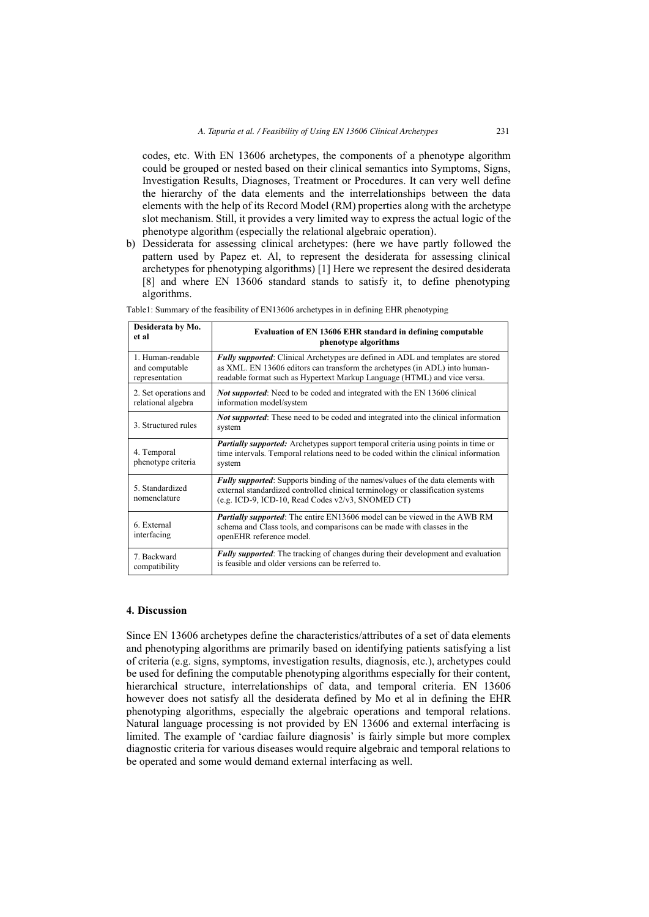codes, etc. With EN 13606 archetypes, the components of a phenotype algorithm could be grouped or nested based on their clinical semantics into Symptoms, Signs, Investigation Results, Diagnoses, Treatment or Procedures. It can very well define the hierarchy of the data elements and the interrelationships between the data elements with the help of its Record Model (RM) properties along with the archetype slot mechanism. Still, it provides a very limited way to express the actual logic of the phenotype algorithm (especially the relational algebraic operation).

b) Dessiderata for assessing clinical archetypes: (here we have partly followed the pattern used by Papez et. Al, to represent the desiderata for assessing clinical archetypes for phenotyping algorithms) [1] Here we represent the desired desiderata [8] and where EN 13606 standard stands to satisfy it, to define phenotyping algorithms.

| Desiderata by Mo.                 | Evaluation of EN 13606 EHR standard in defining computable                                                                                                                                                                     |
|-----------------------------------|--------------------------------------------------------------------------------------------------------------------------------------------------------------------------------------------------------------------------------|
| et al                             | phenotype algorithms                                                                                                                                                                                                           |
| 1. Human-readable                 | <b>Fully supported:</b> Clinical Archetypes are defined in ADL and templates are stored                                                                                                                                        |
| and computable                    | as XML. EN 13606 editors can transform the archetypes (in ADL) into human-                                                                                                                                                     |
| representation                    | readable format such as Hypertext Markup Language (HTML) and vice versa.                                                                                                                                                       |
| 2. Set operations and             | <b>Not supported:</b> Need to be coded and integrated with the EN 13606 clinical                                                                                                                                               |
| relational algebra                | information model/system                                                                                                                                                                                                       |
| 3. Structured rules               | <b>Not supported:</b> These need to be coded and integrated into the clinical information<br>system                                                                                                                            |
| 4. Temporal<br>phenotype criteria | Partially supported: Archetypes support temporal criteria using points in time or<br>time intervals. Temporal relations need to be coded within the clinical information<br>system                                             |
| 5. Standardized<br>nomenclature   | <b>Fully supported:</b> Supports binding of the names/values of the data elements with<br>external standardized controlled clinical terminology or classification systems<br>(e.g. ICD-9, ICD-10, Read Codes v2/v3, SNOMED CT) |
| 6. External<br>interfacing        | <b>Partially supported:</b> The entire EN13606 model can be viewed in the AWB RM<br>schema and Class tools, and comparisons can be made with classes in the<br>openEHR reference model.                                        |
| 7. Backward                       | <b>Fully supported:</b> The tracking of changes during their development and evaluation                                                                                                                                        |
| compatibility                     | is feasible and older versions can be referred to.                                                                                                                                                                             |

Table1: Summary of the feasibility of EN13606 archetypes in in defining EHR phenotyping

# **4. Discussion**

Since EN 13606 archetypes define the characteristics/attributes of a set of data elements and phenotyping algorithms are primarily based on identifying patients satisfying a list of criteria (e.g. signs, symptoms, investigation results, diagnosis, etc.), archetypes could be used for defining the computable phenotyping algorithms especially for their content, hierarchical structure, interrelationships of data, and temporal criteria. EN 13606 however does not satisfy all the desiderata defined by Mo et al in defining the EHR phenotyping algorithms, especially the algebraic operations and temporal relations. Natural language processing is not provided by EN 13606 and external interfacing is limited. The example of 'cardiac failure diagnosis' is fairly simple but more complex diagnostic criteria for various diseases would require algebraic and temporal relations to be operated and some would demand external interfacing as well.